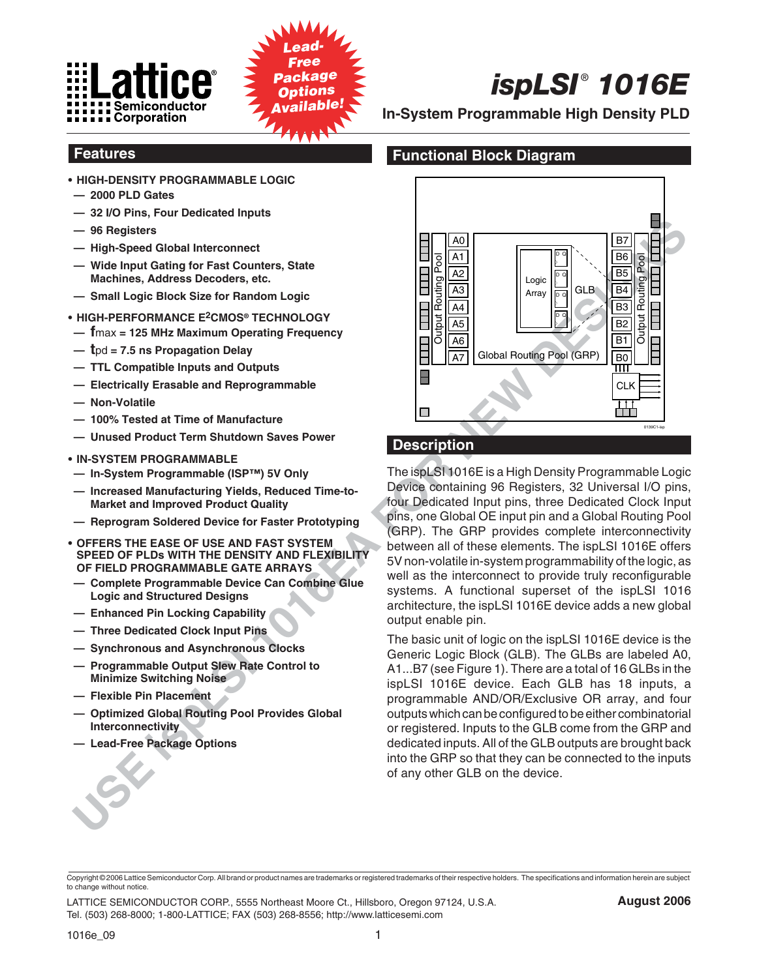



# **Features**

- **HIGH-DENSITY PROGRAMMABLE LOGIC**
- **2000 PLD Gates**
- **32 I/O Pins, Four Dedicated Inputs**
- **96 Registers**
- **High-Speed Global Interconnect**
- **Wide Input Gating for Fast Counters, State Machines, Address Decoders, etc.**
- **Small Logic Block Size for Random Logic**
- **HIGH-PERFORMANCE E2CMOS® TECHNOLOGY**
- **— f**max **= 125 MHz Maximum Operating Frequency**
- **— t**pd **= 7.5 ns Propagation Delay**
- **TTL Compatible Inputs and Outputs**
- **Electrically Erasable and Reprogrammable**
- **Non-Volatile**
- **100% Tested at Time of Manufacture**
- **Unused Product Term Shutdown Saves Power**
- **IN-SYSTEM PROGRAMMABLE**
- **In-System Programmable (ISP™) 5V Only**
- **Increased Manufacturing Yields, Reduced Time-to-Market and Improved Product Quality**
- **Reprogram Soldered Device for Faster Prototyping**
- **OFFERS THE EASE OF USE AND FAST SYSTEM SPEED OF PLDs WITH THE DENSITY AND FLEXIBILITY OF FIELD PROGRAMMABLE GATE ARRAYS**
- **Complete Programmable Device Can Combine Glue Logic and Structured Designs**
- **Enhanced Pin Locking Capability**
- **Three Dedicated Clock Input Pins**
- **Synchronous and Asynchronous Clocks**
- **Programmable Output Slew Rate Control to Minimize Switching Noise**
- **Flexible Pin Placement**
- **Optimized Global Routing Pool Provides Global Interconnectivity**
- **Lead-Free Package Options**



**In-System Programmable High Density PLD**

# **Functional Block Diagram**



# **Description**

The ispLSI 1016E is a High Density Programmable Logic Device containing 96 Registers, 32 Universal I/O pins, four Dedicated Input pins, three Dedicated Clock Input pins, one Global OE input pin and a Global Routing Pool (GRP). The GRP provides complete interconnectivity between all of these elements. The ispLSI 1016E offers 5V non-volatile in-system programmability of the logic, as well as the interconnect to provide truly reconfigurable systems. A functional superset of the ispLSI 1016 architecture, the ispLSI 1016E device adds a new global output enable pin.

The basic unit of logic on the ispLSI 1016E device is the Generic Logic Block (GLB). The GLBs are labeled A0, A1...B7 (see Figure 1). There are a total of 16 GLBs in the ispLSI 1016E device. Each GLB has 18 inputs, a programmable AND/OR/Exclusive OR array, and four outputs which can be configured to be either combinatorial or registered. Inputs to the GLB come from the GRP and dedicated inputs. All of the GLB outputs are brought back into the GRP so that they can be connected to the inputs of any other GLB on the device.

LATTICE SEMICONDUCTOR CORP., 5555 Northeast Moore Ct., Hillsboro, Oregon 97124, U.S.A. Tel. (503) 268-8000; 1-800-LATTICE; FAX (503) 268-8556; http://www.latticesemi.com

Copyright © 2006 Lattice Semiconductor Corp. All brand or product names are trademarks or registered trademarks of their respective holders. The specifications and information herein are subject to change without notice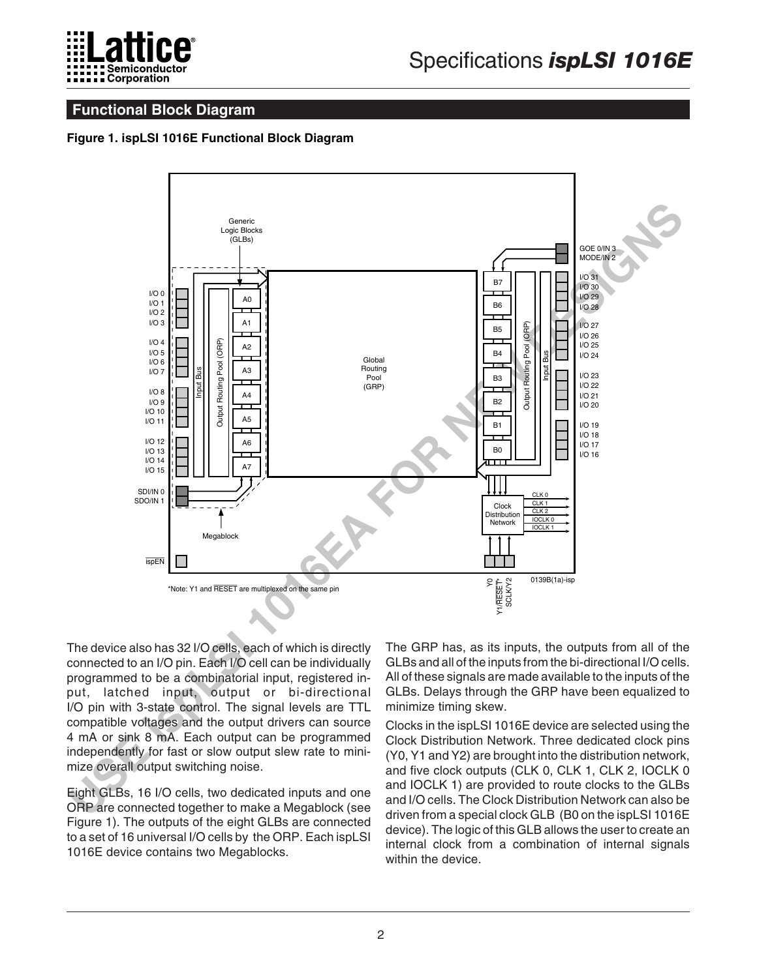

### **Functional Block Diagram**

#### **Figure 1. ispLSI 1016E Functional Block Diagram**



The device also has 32 I/O cells, each of which is directly connected to an I/O pin. Each I/O cell can be individually programmed to be a combinatorial input, registered input, latched input, output or bi-directional I/O pin with 3-state control. The signal levels are TTL compatible voltages and the output drivers can source 4 mA or sink 8 mA. Each output can be programmed independently for fast or slow output slew rate to minimize overall output switching noise.

Eight GLBs, 16 I/O cells, two dedicated inputs and one ORP are connected together to make a Megablock (see Figure 1). The outputs of the eight GLBs are connected to a set of 16 universal I/O cells by the ORP. Each ispLSI 1016E device contains two Megablocks.

The GRP has, as its inputs, the outputs from all of the GLBs and all of the inputs from the bi-directional I/O cells. All of these signals are made available to the inputs of the GLBs. Delays through the GRP have been equalized to minimize timing skew.

Clocks in the ispLSI 1016E device are selected using the Clock Distribution Network. Three dedicated clock pins (Y0, Y1 and Y2) are brought into the distribution network, and five clock outputs (CLK 0, CLK 1, CLK 2, IOCLK 0 and IOCLK 1) are provided to route clocks to the GLBs and I/O cells. The Clock Distribution Network can also be driven from a special clock GLB (B0 on the ispLSI 1016E device). The logic of this GLB allows the user to create an internal clock from a combination of internal signals within the device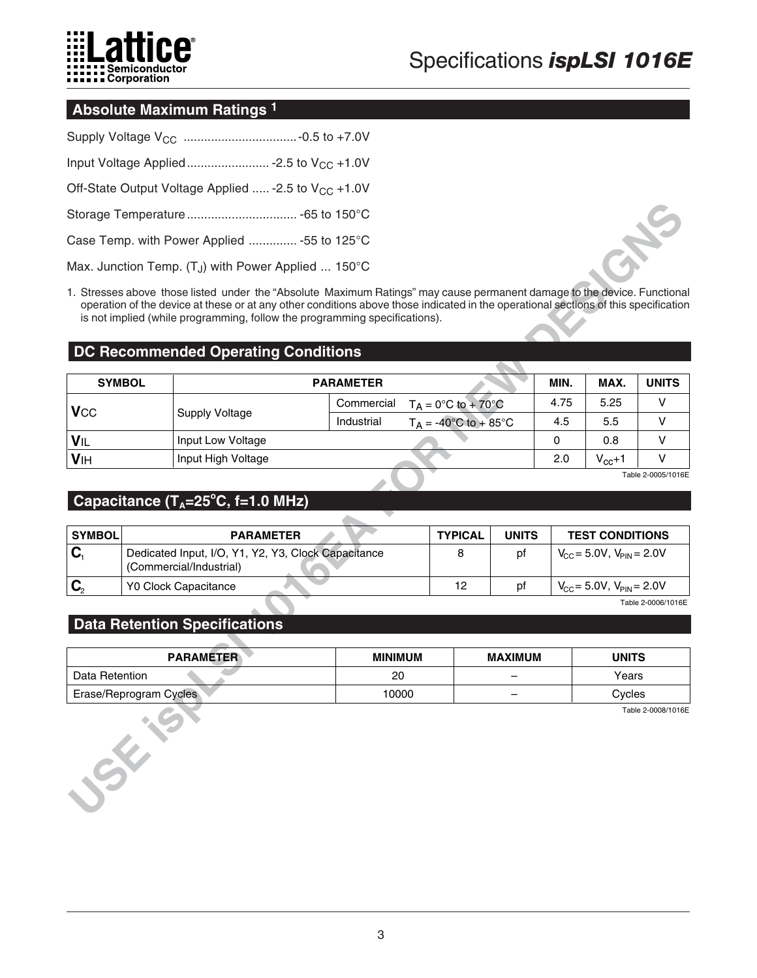

### **Absolute Maximum Ratings 1**

| Off-State Output Voltage Applied  - 2.5 to V <sub>CC</sub> + 1.0V  |  |
|--------------------------------------------------------------------|--|
|                                                                    |  |
| Case Temp. with Power Applied  -55 to 125°C                        |  |
| Max. Junction Temp. $(T_{J})$ with Power Applied  150 $^{\circ}$ C |  |

### **DC Recommended Operating Conditions**

|                                               |               | Case Temp. with Power Applied  -55 to 125°C                                                                                                                                                                                                                                                                                                                                                 |                  |                                |                |                |                                   |                        |                    |
|-----------------------------------------------|---------------|---------------------------------------------------------------------------------------------------------------------------------------------------------------------------------------------------------------------------------------------------------------------------------------------------------------------------------------------------------------------------------------------|------------------|--------------------------------|----------------|----------------|-----------------------------------|------------------------|--------------------|
|                                               |               | Max. Junction Temp. $(T_{J})$ with Power Applied  150 $^{\circ}$ C                                                                                                                                                                                                                                                                                                                          |                  |                                |                |                |                                   |                        |                    |
|                                               |               | 1. Stresses above those listed under the "Absolute Maximum Ratings" may cause permanent damage to the device. Functional<br>operation of the device at these or at any other conditions above those indicated in the operational sections of this specification<br>is not implied (while programming, follow the programming specifications).<br><b>DC Recommended Operating Conditions</b> |                  |                                |                |                |                                   |                        |                    |
|                                               |               |                                                                                                                                                                                                                                                                                                                                                                                             |                  |                                |                |                |                                   |                        |                    |
|                                               | <b>SYMBOL</b> |                                                                                                                                                                                                                                                                                                                                                                                             | <b>PARAMETER</b> |                                |                |                | MIN.                              | MAX.                   | <b>UNITS</b>       |
| <b>V</b> cc                                   |               | <b>Supply Voltage</b>                                                                                                                                                                                                                                                                                                                                                                       | Commercial       | $T_A = 0$ °C to + 70°C         |                |                | 4.75                              | 5.25                   | v                  |
|                                               |               |                                                                                                                                                                                                                                                                                                                                                                                             | Industrial       | $T_A = -40^{\circ}C$ to + 85°C |                |                | 4.5                               | 5.5                    | v                  |
| VIL                                           |               | Input Low Voltage                                                                                                                                                                                                                                                                                                                                                                           |                  |                                |                |                | 0                                 | 0.8                    | v                  |
| VIH                                           |               | Input High Voltage                                                                                                                                                                                                                                                                                                                                                                          |                  |                                |                |                | 2.0                               | $V_{cc}+1$             | v                  |
|                                               |               |                                                                                                                                                                                                                                                                                                                                                                                             |                  |                                |                |                |                                   |                        | Table 2-0005/1016E |
|                                               |               | Capacitance $(T_A=25^{\circ}C, f=1.0 \text{ MHz})$                                                                                                                                                                                                                                                                                                                                          |                  |                                |                |                |                                   |                        |                    |
|                                               |               |                                                                                                                                                                                                                                                                                                                                                                                             |                  |                                |                |                |                                   |                        |                    |
| <b>SYMBOL</b>                                 |               | <b>PARAMETER</b>                                                                                                                                                                                                                                                                                                                                                                            |                  |                                | <b>TYPICAL</b> | <b>UNITS</b>   |                                   | <b>TEST CONDITIONS</b> |                    |
| $\mathbf{C}_1$                                |               | Dedicated Input, I/O, Y1, Y2, Y3, Clock Capacitance<br>(Commercial/Industrial)                                                                                                                                                                                                                                                                                                              |                  |                                | 8              | pf             | $V_{CC}$ = 5.0V, $V_{PIN}$ = 2.0V |                        |                    |
| $\mathbf{C}_2$                                |               | Y0 Clock Capacitance                                                                                                                                                                                                                                                                                                                                                                        |                  |                                | 12             | pf             | $V_{CC}$ = 5.0V, $V_{PIN}$ = 2.0V |                        |                    |
|                                               |               |                                                                                                                                                                                                                                                                                                                                                                                             |                  |                                |                |                |                                   |                        | Table 2-0006/1016E |
|                                               |               | <b>Data Retention Specifications</b>                                                                                                                                                                                                                                                                                                                                                        |                  |                                |                |                |                                   |                        |                    |
|                                               |               |                                                                                                                                                                                                                                                                                                                                                                                             |                  |                                |                |                |                                   |                        |                    |
|                                               |               | <b>PARAMETER</b>                                                                                                                                                                                                                                                                                                                                                                            | <b>MINIMUM</b>   |                                |                | <b>MAXIMUM</b> |                                   | <b>UNITS</b>           |                    |
| Data Retention                                |               |                                                                                                                                                                                                                                                                                                                                                                                             | 20               |                                |                |                |                                   | Years                  |                    |
| 10000<br>Erase/Reprogram Cycles<br><b>SKA</b> |               |                                                                                                                                                                                                                                                                                                                                                                                             |                  |                                |                |                |                                   | Cycles                 |                    |
|                                               |               |                                                                                                                                                                                                                                                                                                                                                                                             |                  |                                |                |                |                                   |                        | Table 2-0008/1016E |

# Capacitance (T<sub>A</sub>=25°C, f=1.0 MHz)

| <b>SYMBOL</b> | <b>PARAMETER</b>                                                               | <b>TYPICAL</b> | <b>UNITS</b> | <b>TEST CONDITIONS</b>            |
|---------------|--------------------------------------------------------------------------------|----------------|--------------|-----------------------------------|
|               | Dedicated Input, I/O, Y1, Y2, Y3, Clock Capacitance<br>(Commercial/Industrial) |                | рf           | $V_{CC}$ = 5.0V, $V_{PIN}$ = 2.0V |
|               | <b>Y0 Clock Capacitance</b>                                                    | 12             | рt           | $V_{CC}$ = 5.0V, $V_{PIN}$ = 2.0V |
|               |                                                                                |                |              | _ _ ____ _                        |

#### **Data Retention Specifications**

| <b>PARAMETER</b>       | <b>MINIMUM</b> | <b>MAXIMUM</b> | <b>UNITS</b>       |
|------------------------|----------------|----------------|--------------------|
| Data Retention         | 20             |                | Years              |
| Erase/Reprogram Cycles | 10000          |                | Cycles             |
|                        |                |                | Table 2-0008/1016E |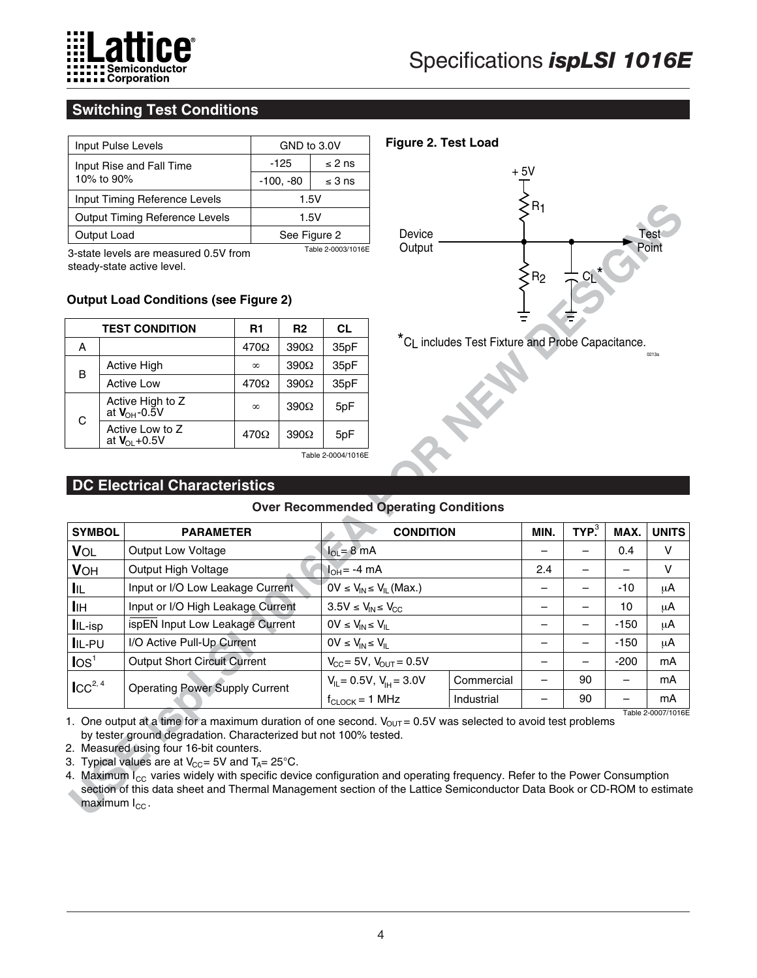

# **Switching Test Conditions**

| Input Pulse Levels                    | GND to 3.0V |                    |  |  |
|---------------------------------------|-------------|--------------------|--|--|
| Input Rise and Fall Time              | $-125$      | $\leq$ 2 ns        |  |  |
| 10% to 90%                            | $-100, -80$ | $\leq$ 3 ns        |  |  |
| Input Timing Reference Levels         | 1.5V        |                    |  |  |
| <b>Output Timing Reference Levels</b> |             | 1.5V               |  |  |
| Output Load                           |             | See Figure 2       |  |  |
| .<br>.                                |             | Table 2-0003/1016F |  |  |

#### **Output Load Conditions (see Figure 2)**

|   | <b>TEST CONDITION</b>                        | R1          | R <sub>2</sub> | <b>CL</b> |
|---|----------------------------------------------|-------------|----------------|-----------|
| А |                                              | $470\Omega$ | $390\Omega$    | 35pF      |
| B | Active High                                  | $\infty$    | $390\Omega$    | 35pF      |
|   | <b>Active Low</b>                            | $470\Omega$ | $390\Omega$    | 35pF      |
| C | Active High to Z<br>at $V_{OH}$ -0.5V        | $\infty$    | $390\Omega$    | 5pF       |
|   | Active Low to Z<br>at $V_{\text{OL}} + 0.5V$ | $470\Omega$ | $390\Omega$    | 5pF       |
|   |                                              |             |                |           |

# **DC Electrical Characteristics**

#### **Over Recommended Operating Conditions**

|                       |                                                                                                                     |               |                |                                    |                                                 |                                                              | $\geq$ R <sub>1</sub>                         |                               |                             |                          |
|-----------------------|---------------------------------------------------------------------------------------------------------------------|---------------|----------------|------------------------------------|-------------------------------------------------|--------------------------------------------------------------|-----------------------------------------------|-------------------------------|-----------------------------|--------------------------|
|                       | <b>Output Timing Reference Levels</b>                                                                               |               | 1.5V           |                                    |                                                 |                                                              |                                               |                               |                             |                          |
|                       | Output Load                                                                                                         |               | See Figure 2   |                                    | Device                                          |                                                              |                                               |                               |                             |                          |
|                       | 3-state levels are measured 0.5V from<br>steady-state active level.<br><b>Output Load Conditions (see Figure 2)</b> |               |                | Table 2-0003/1016E                 | Output                                          |                                                              | ·R2                                           |                               |                             |                          |
|                       | <b>TEST CONDITION</b>                                                                                               | R1            | R <sub>2</sub> | CL                                 |                                                 |                                                              |                                               |                               |                             |                          |
| A                     |                                                                                                                     | $470\Omega$   | $390\Omega$    | 35pF                               |                                                 | *C <sub>L</sub> includes Test Fixture and Probe Capacitance. |                                               |                               |                             | 0213a                    |
|                       | Active High                                                                                                         | $\infty$      | $390\Omega$    | 35pF                               |                                                 |                                                              |                                               |                               |                             |                          |
| B                     | <b>Active Low</b>                                                                                                   | 470Ω          | $390\Omega$    | 35pF                               |                                                 |                                                              |                                               |                               |                             |                          |
| $\mathsf C$           | Active High to Z<br>at $V_{OH}$ -0.5V                                                                               | ${}^{\infty}$ | $390\Omega$    | 5pF                                |                                                 |                                                              |                                               |                               |                             |                          |
|                       | Active Low to Z<br>at $V_{OL}$ +0.5V                                                                                | 470Ω          | $390\Omega$    | 5pF                                |                                                 |                                                              |                                               |                               |                             |                          |
|                       |                                                                                                                     |               |                | Table 2-0004/1016E                 |                                                 |                                                              |                                               |                               |                             |                          |
|                       | <b>DC Electrical Characteristics</b>                                                                                |               |                |                                    |                                                 |                                                              |                                               |                               |                             |                          |
|                       |                                                                                                                     |               |                |                                    | <b>Over Recommended Operating Conditions</b>    |                                                              |                                               |                               |                             |                          |
|                       |                                                                                                                     |               |                |                                    |                                                 |                                                              |                                               |                               |                             |                          |
|                       |                                                                                                                     |               |                |                                    |                                                 |                                                              |                                               |                               |                             |                          |
| <b>SYMBOL</b>         | <b>PARAMETER</b>                                                                                                    |               |                |                                    | <b>CONDITION</b>                                |                                                              | MIN.                                          | $TYP^3$                       | MAX.                        | <b>UNITS</b>             |
| VOL                   | Output Low Voltage                                                                                                  |               |                | $I_{OL} = 8 \text{ mA}$            |                                                 |                                                              |                                               | $\overline{\phantom{0}}$      | 0.4                         | V                        |
| <b>VOH</b>            | Output High Voltage                                                                                                 |               |                | $I_{OH} = -4$ mA                   |                                                 |                                                              | 2.4                                           |                               |                             | V                        |
| <b>I</b> IL           | Input or I/O Low Leakage Current                                                                                    |               |                |                                    | $0V \le V_{IN} \le V_{IL}$ (Max.)               |                                                              |                                               |                               | -10                         | $\mu$ A                  |
| Iін                   | Input or I/O High Leakage Current                                                                                   |               |                | $3.5V \le V_{IN} \le V_{CC}$       |                                                 |                                                              | $\qquad \qquad -$<br>$\overline{\phantom{0}}$ | —<br>$\overline{\phantom{0}}$ | 10                          | μA                       |
| IL-isp                | ispEN Input Low Leakage Current                                                                                     |               |                | $OV \le V_{IN} \le V_{IL}$         |                                                 |                                                              | $\overline{\phantom{0}}$                      | $\overline{\phantom{0}}$      | $-150$                      | $\mu$ A                  |
| IL-PU                 | I/O Active Pull-Up Current                                                                                          |               |                | $0V \leq V_{IN} \leq V_{IL}$       |                                                 |                                                              |                                               |                               | $-150$                      | $\mu$ A                  |
| $\text{los}^1$        | <b>Output Short Circuit Current</b>                                                                                 |               |                |                                    | $V_{CC}$ = 5V, $V_{OUT}$ = 0.5V                 | Commercial                                                   |                                               | 90                            | $-200$<br>$\qquad \qquad -$ | mA<br>mA                 |
| $\mathsf{ICC}^{2, 4}$ | <b>Operating Power Supply Current</b>                                                                               |               |                | $f_{\text{CLOCK}} = 1 \text{ MHz}$ | $V_{\text{IL}} = 0.5V$ , $V_{\text{IH}} = 3.0V$ | Industrial                                                   |                                               | 90                            |                             | mA<br>Table 2-0007/1016E |

- 4. Maximum I<sub>cc</sub> varies widely with specific device configuration and operating frequency. Refer to the Power Consumption
- section of this data sheet and Thermal Management section of the Lattice Semiconductor Data Book or CD-ROM to estimate maximum  $I_{\text{CC}}$ .

### **Figure 2. Test Load**

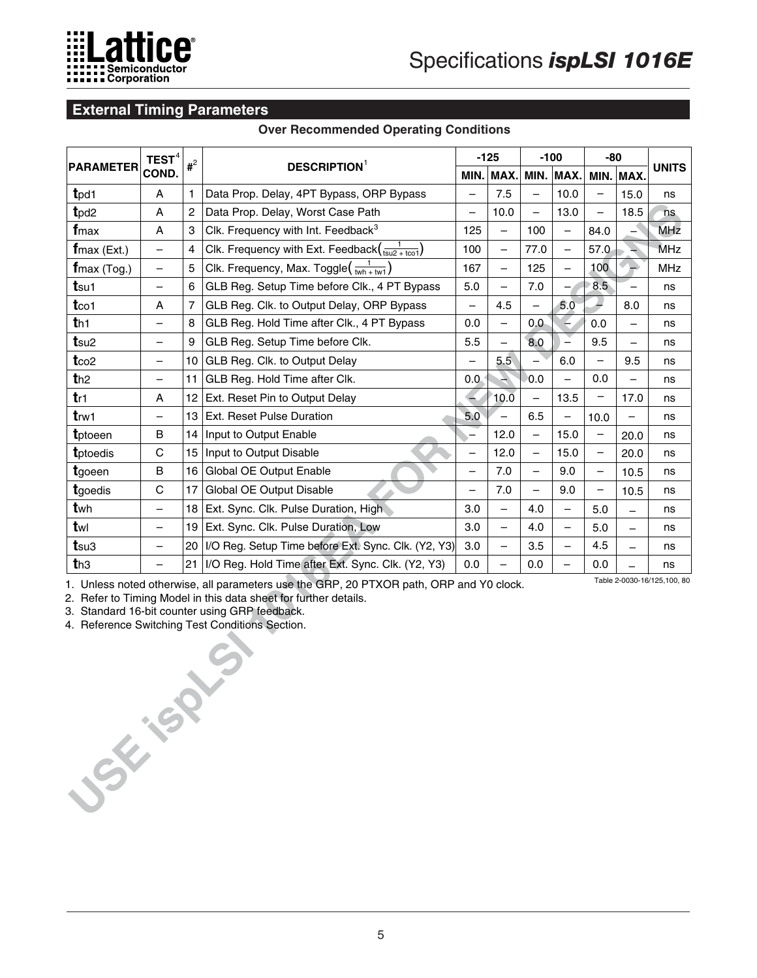

## **External Timing Parameters**

#### **Over Recommended Operating Conditions**

| TEST $^4$<br>$#^2$<br><b>DESCRIPTION</b> <sup>1</sup> |                          |                         | $-125$                                                                                                                                                                                                                                                           | $-100$                   |                          | $-80$                    |                          |                          |                          |                             |
|-------------------------------------------------------|--------------------------|-------------------------|------------------------------------------------------------------------------------------------------------------------------------------------------------------------------------------------------------------------------------------------------------------|--------------------------|--------------------------|--------------------------|--------------------------|--------------------------|--------------------------|-----------------------------|
| <b>PARAMETER</b>                                      | COND.                    |                         |                                                                                                                                                                                                                                                                  |                          | MIN. MAX.                |                          | MIN. MAX.                | MIN.                     | MAX.                     | <b>UNITS</b>                |
| t <sub>pd1</sub>                                      | A                        | 1                       | Data Prop. Delay, 4PT Bypass, ORP Bypass                                                                                                                                                                                                                         | $\overline{\phantom{0}}$ | 7.5                      | $\qquad \qquad -$        | 10.0                     | $\qquad \qquad -$        | 15.0                     | ns                          |
| t <sub>pd2</sub>                                      | A                        | $\overline{\mathbf{c}}$ | Data Prop. Delay, Worst Case Path                                                                                                                                                                                                                                | $\overline{\phantom{0}}$ | 10.0                     | $\equiv$                 | 13.0                     | $\overline{\phantom{0}}$ | 18.5                     | ns.                         |
| fmax                                                  | A                        | 3                       | Clk. Frequency with Int. Feedback <sup>3</sup>                                                                                                                                                                                                                   | 125                      | $\overline{\phantom{0}}$ | 100                      | $\overline{\phantom{0}}$ | 84.0                     |                          | <b>MHz</b>                  |
| $f$ max (Ext.)                                        |                          | $\overline{4}$          | Clk. Frequency with Ext. Feedback $\left(\frac{1}{\tan 2 + \tan 1}\right)$                                                                                                                                                                                       | 100                      | $\qquad \qquad -$        | 77.0                     | $\overline{\phantom{0}}$ | 57.0                     |                          | MHz                         |
| $f$ max (Tog.)                                        | $\overline{\phantom{0}}$ | 5                       | Clk. Frequency, Max. Toggle $\left(\frac{1}{wh+wt}\right)$                                                                                                                                                                                                       | 167                      | $\qquad \qquad -$        | 125                      | $\equiv$                 | 100                      | ÷.                       | <b>MHz</b>                  |
| tsu1                                                  | —                        | 6                       | GLB Reg. Setup Time before Clk., 4 PT Bypass                                                                                                                                                                                                                     | 5.0                      | $\overline{\phantom{0}}$ | $7.0\,$                  |                          | 8.5                      |                          | ns                          |
| t <sub>co1</sub>                                      | A                        | 7                       | GLB Reg. Clk. to Output Delay, ORP Bypass                                                                                                                                                                                                                        | $\overline{\phantom{0}}$ | 4.5                      | $\overline{\phantom{0}}$ | 5.0                      |                          | 8.0                      | ns                          |
| th <sub>1</sub>                                       |                          | 8                       | GLB Reg. Hold Time after Clk., 4 PT Bypass                                                                                                                                                                                                                       | 0.0                      | $\overline{\phantom{0}}$ | 0,0                      |                          | 0.0                      |                          | ns                          |
| t <sub>su2</sub>                                      | $\qquad \qquad -$        | 9                       | GLB Reg. Setup Time before Clk.                                                                                                                                                                                                                                  | 5.5                      | $\overline{\phantom{0}}$ | 8.0                      | $\sum_{i=1}^{n}$         | 9.5                      | $\overline{\phantom{0}}$ | ns                          |
| t <sub>co2</sub>                                      | $\qquad \qquad -$        | 10                      | GLB Reg. Clk. to Output Delay                                                                                                                                                                                                                                    |                          | 5.5                      |                          | 6.0                      |                          | 9.5                      | ns                          |
| th2                                                   | $\qquad \qquad -$        | 11                      | GLB Reg. Hold Time after Clk.                                                                                                                                                                                                                                    | 0.0                      |                          | 0.0                      | $\overline{\phantom{0}}$ | 0.0                      | $\overline{\phantom{0}}$ | ns                          |
| tr1                                                   | Α                        | 12                      | Ext. Reset Pin to Output Delay                                                                                                                                                                                                                                   |                          | 10.0                     |                          | 13.5                     |                          | 17.0                     | ns                          |
| t <sub>rw1</sub>                                      | $\qquad \qquad -$        | 13                      | Ext. Reset Pulse Duration                                                                                                                                                                                                                                        | 5.0                      |                          | 6.5                      | $\overline{\phantom{0}}$ | 10.0                     | $\overline{\phantom{0}}$ | ns                          |
| tptoeen                                               | B                        | 14                      | Input to Output Enable                                                                                                                                                                                                                                           | $\overline{\phantom{0}}$ | 12.0                     | $\overline{\phantom{0}}$ | 15.0                     |                          | 20.0                     | ns                          |
| tptoedis                                              | $\mathsf C$              | 15                      | Input to Output Disable                                                                                                                                                                                                                                          | $\overline{\phantom{0}}$ | 12.0                     | $\overline{\phantom{m}}$ | 15.0                     | $\overline{\phantom{a}}$ | 20.0                     | ns                          |
| tgoeen                                                | $\mathsf B$              | 16                      | Global OE Output Enable                                                                                                                                                                                                                                          | $\overline{\phantom{0}}$ | 7.0                      | $\qquad \qquad -$        | 9.0                      |                          | 10.5                     | ns                          |
| tgoedis                                               | $\mathsf{C}$             | 17                      | Global OE Output Disable                                                                                                                                                                                                                                         | $\qquad \qquad -$        | 7.0                      | $\overline{\phantom{m}}$ | 9.0                      | $\qquad \qquad -$        | 10.5                     | ns                          |
| twh                                                   | $\overline{\phantom{0}}$ | 18                      | Ext. Sync. Clk. Pulse Duration, High.                                                                                                                                                                                                                            | 3.0                      | $\overline{\phantom{0}}$ | 4.0                      | $\qquad \qquad -$        | 5.0                      | -                        | ns                          |
| twl                                                   | $\qquad \qquad -$        | 19                      | Ext. Sync. Clk. Pulse Duration, Low                                                                                                                                                                                                                              | 3.0                      | $\overline{\phantom{m}}$ | 4.0                      | $\qquad \qquad -$        | 5.0                      | $\overline{\phantom{0}}$ | ns                          |
| $t$ su3                                               |                          | 20                      | I/O Reg. Setup Time before Ext. Sync. Clk. (Y2, Y3)                                                                                                                                                                                                              | 3.0                      | $\qquad \qquad -$        | 3.5                      | $\overline{\phantom{0}}$ | 4.5                      |                          | ns                          |
| th3                                                   |                          | 21                      | I/O Reg. Hold Time after Ext. Sync. Clk. (Y2, Y3)                                                                                                                                                                                                                | 0.0                      | $\overline{\phantom{0}}$ | 0.0                      | $\overline{\phantom{0}}$ | 0.0                      |                          | ns                          |
| <b>SSEE 15P</b>                                       |                          |                         | 1. Unless noted otherwise, all parameters use the GRP, 20 PTXOR path, ORP and Y0 clock.<br>2. Refer to Timing Model in this data sheet for further details.<br>3. Standard 16-bit counter using GRP feedback.<br>4. Reference Switching Test Conditions Section. |                          |                          |                          |                          |                          |                          | Table 2-0030-16/125,100, 80 |

4. Reference Switching Test Conditions Section.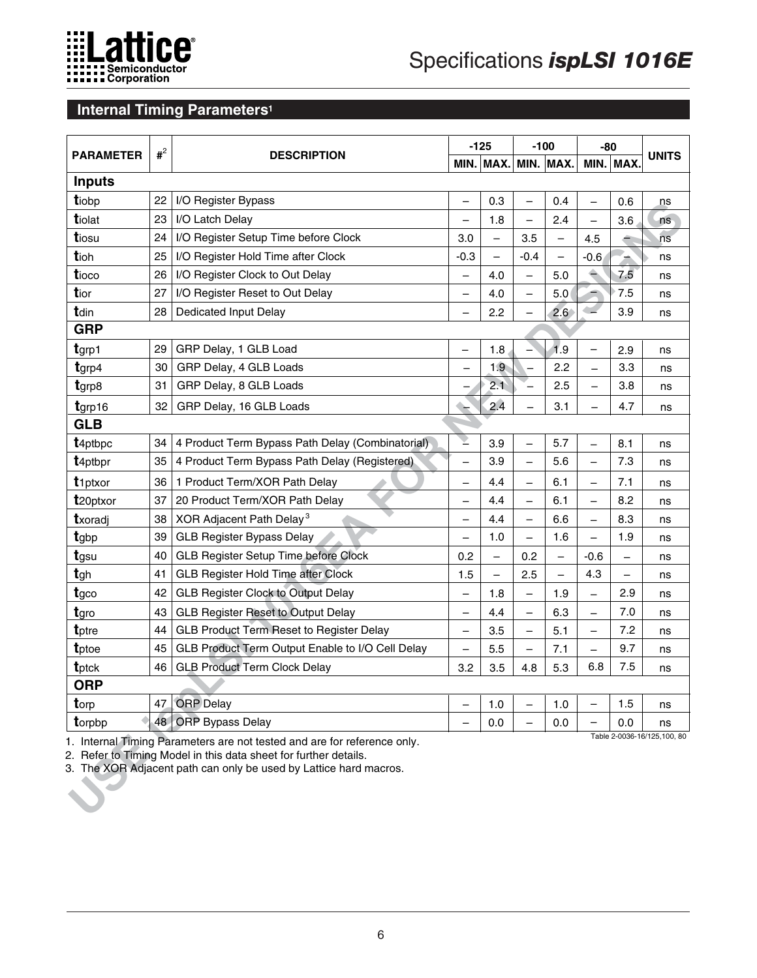

# **Internal Timing Parameters1**

| <b>PARAMETER</b>     |    | $#^2$<br><b>DESCRIPTION</b>                                                                                                                                                                                       |                          | $-125$                   | $-100$                   |                          | $-80$                    |                          | <b>UNITS</b>                |
|----------------------|----|-------------------------------------------------------------------------------------------------------------------------------------------------------------------------------------------------------------------|--------------------------|--------------------------|--------------------------|--------------------------|--------------------------|--------------------------|-----------------------------|
|                      |    |                                                                                                                                                                                                                   |                          | MIN. MAX.                |                          | MIN. MAX.                |                          | MIN. MAX.                |                             |
| <b>Inputs</b>        |    |                                                                                                                                                                                                                   |                          |                          |                          |                          |                          |                          |                             |
| tiobp                | 22 | I/O Register Bypass                                                                                                                                                                                               |                          | 0.3                      | $\overline{\phantom{0}}$ | 0.4                      |                          | 0.6                      | ns                          |
| tiolat               | 23 | I/O Latch Delay                                                                                                                                                                                                   | $\overline{\phantom{0}}$ | 1.8                      | $\overline{\phantom{0}}$ | 2.4                      |                          | 3.6                      | ns                          |
| tiosu                | 24 | I/O Register Setup Time before Clock                                                                                                                                                                              | 3.0                      |                          | 3.5                      | $\qquad \qquad -$        | 4.5                      |                          | ns                          |
| tioh                 | 25 | I/O Register Hold Time after Clock                                                                                                                                                                                | $-0.3$                   | $\qquad \qquad -$        | $-0.4$                   | $\qquad \qquad -$        | $-0.6$                   |                          | ns                          |
| tioco                | 26 | I/O Register Clock to Out Delay                                                                                                                                                                                   | —                        | 4.0                      | $\qquad \qquad -$        | 5.0                      | ≐                        | 7.5                      | ns                          |
| tior                 | 27 | I/O Register Reset to Out Delay                                                                                                                                                                                   | —                        | 4.0                      | $\overline{\phantom{0}}$ | 5.0                      |                          | 7.5                      | ns                          |
| tdin                 | 28 | Dedicated Input Delay                                                                                                                                                                                             |                          | 2.2                      |                          | 2.6 <sup>°</sup>         |                          | 3.9                      | ns                          |
| <b>GRP</b>           |    |                                                                                                                                                                                                                   |                          |                          |                          |                          |                          |                          |                             |
| tgrp1                | 29 | GRP Delay, 1 GLB Load                                                                                                                                                                                             |                          | 1.8                      |                          | 1.9                      |                          | 2.9                      | ns                          |
| $t$ grp4             | 30 | GRP Delay, 4 GLB Loads                                                                                                                                                                                            | $\overline{\phantom{0}}$ | 1.9                      |                          | 2.2                      | $\equiv$                 | 3.3                      | ns                          |
| tgrp8                | 31 | GRP Delay, 8 GLB Loads                                                                                                                                                                                            |                          | 2.1                      |                          | 2.5                      |                          | 3.8                      | ns                          |
| $t$ grp16            | 32 | GRP Delay, 16 GLB Loads                                                                                                                                                                                           |                          | 2.4                      |                          | 3.1                      |                          | 4.7                      | ns                          |
| <b>GLB</b>           |    |                                                                                                                                                                                                                   |                          |                          |                          |                          |                          |                          |                             |
| t <sub>4ptbpc</sub>  | 34 | 4 Product Term Bypass Path Delay (Combinatorial)                                                                                                                                                                  | Ż                        | 3.9                      | $\overline{\phantom{0}}$ | 5.7                      |                          | 8.1                      | ns                          |
| t <sub>4ptbpr</sub>  | 35 | 4 Product Term Bypass Path Delay (Registered)                                                                                                                                                                     | $\overline{\phantom{0}}$ | 3.9                      | $\overline{\phantom{0}}$ | 5.6                      |                          | 7.3                      | ns                          |
| t <sub>1ptxor</sub>  | 36 | 1 Product Term/XOR Path Delay                                                                                                                                                                                     | —                        | 4.4                      |                          | 6.1                      |                          | 7.1                      | ns                          |
| t <sub>20ptxor</sub> | 37 | 20 Product Term/XOR Path Delay                                                                                                                                                                                    | —                        | 4.4                      | $\overline{\phantom{0}}$ | 6.1                      | $\overline{\phantom{0}}$ | 8.2                      | ns                          |
| txoradj              | 38 | XOR Adjacent Path Delay <sup>3</sup>                                                                                                                                                                              | -                        | 4.4                      |                          | 6.6                      |                          | 8.3                      | ns                          |
| tgbp                 | 39 | <b>GLB Register Bypass Delay</b>                                                                                                                                                                                  | —                        | 1.0                      | $\overline{\phantom{0}}$ | 1.6                      | $\overline{\phantom{0}}$ | 1.9                      | ns                          |
| tgsu                 | 40 | GLB Register Setup Time before Clock                                                                                                                                                                              | 0.2                      |                          | 0.2                      | $\overline{\phantom{0}}$ | $-0.6$                   |                          | ns                          |
| tgh                  | 41 | <b>GLB Register Hold Time after Clock</b>                                                                                                                                                                         | 1.5                      | $\overline{\phantom{0}}$ | 2.5                      |                          | 4.3                      | $\overline{\phantom{0}}$ | ns                          |
| tgco                 | 42 | <b>GLB Register Clock to Output Delay</b>                                                                                                                                                                         | —                        | 1.8                      | $\overline{\phantom{0}}$ | 1.9                      |                          | 2.9                      | ns                          |
| tgro                 | 43 | <b>GLB Register Reset to Output Delay</b>                                                                                                                                                                         | —                        | 4.4                      | $\qquad \qquad -$        | 6.3                      | $\overline{\phantom{0}}$ | 7.0                      | ns                          |
| tptre                | 44 | <b>GLB Product Term Reset to Register Delay</b>                                                                                                                                                                   | —                        | 3.5                      | $\overline{\phantom{0}}$ | 5.1                      |                          | 7.2                      | ns                          |
| tptoe                | 45 | GLB Product Term Output Enable to I/O Cell Delay                                                                                                                                                                  | $\overline{\phantom{0}}$ | 5.5                      | $\overline{\phantom{0}}$ | 7.1                      | $\overline{\phantom{0}}$ | 9.7                      | ns                          |
| tptck                | 46 | <b>GLB Product Term Clock Delay</b>                                                                                                                                                                               | 3.2                      | 3.5                      | 4.8                      | 5.3                      | 6.8                      | 7.5                      | ns                          |
| <b>ORP</b>           |    |                                                                                                                                                                                                                   |                          |                          |                          |                          |                          |                          |                             |
| torp                 | 47 | <b>ORP</b> Delay                                                                                                                                                                                                  |                          | 1.0                      |                          | 1.0                      |                          | 1.5                      | ns                          |
| torpbp               | 48 | <b>ORP Bypass Delay</b>                                                                                                                                                                                           |                          | 0.0                      |                          | 0.0                      |                          | 0.0                      | ns                          |
|                      |    | 1. Internal Timing Parameters are not tested and are for reference only.<br>2. Refer to Timing Model in this data sheet for further details.<br>3. The XOR Adjacent path can only be used by Lattice hard macros. |                          |                          |                          |                          |                          |                          | Table 2-0036-16/125,100, 80 |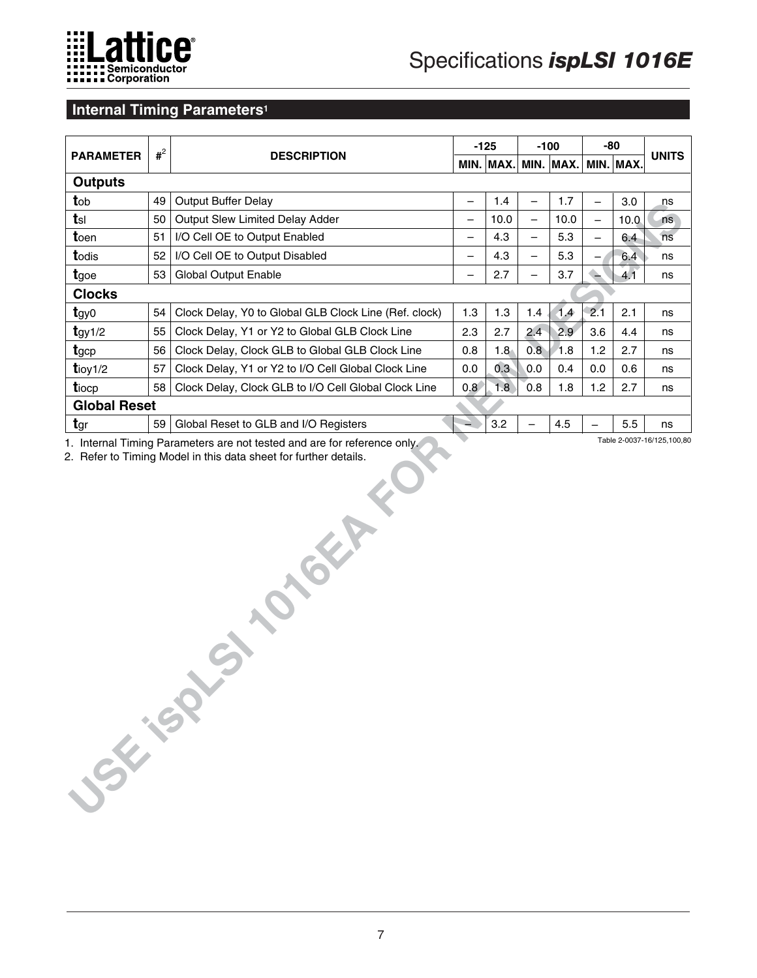

### **Internal Timing Parameters<sup>1</sup>**

| <b>PARAMETER</b>    | $#^2$ |                                                       |                          | $-125$      |                          | $-100$      |                   | -80       |              |
|---------------------|-------|-------------------------------------------------------|--------------------------|-------------|--------------------------|-------------|-------------------|-----------|--------------|
|                     |       | <b>DESCRIPTION</b>                                    |                          | MIN.   MAX. |                          | $MIN.$ MAX. |                   | MIN. MAX. | <b>UNITS</b> |
| <b>Outputs</b>      |       |                                                       |                          |             |                          |             |                   |           |              |
| tob                 | 49    | <b>Output Buffer Delay</b>                            | $\overline{\phantom{0}}$ | 1.4         | $\overline{\phantom{0}}$ | 1.7         | $\qquad \qquad -$ | 3.0       | ns           |
| $t$ sl              | 50    | Output Slew Limited Delay Adder                       | $\overline{\phantom{0}}$ | 10.0        | $\overline{\phantom{0}}$ | 10.0        | $\qquad \qquad -$ | 10.0      | ns           |
| toen                | 51    | I/O Cell OE to Output Enabled                         | $\equiv$                 | 4.3         | $\overline{\phantom{0}}$ | 5.3         | $\qquad \qquad -$ | 6.4       | ns           |
| todis               | 52    | I/O Cell OE to Output Disabled                        | $\qquad \qquad -$        | 4.3         | $\overline{\phantom{0}}$ | 5.3         |                   | 6.4       | ns           |
| tgoe                | 53    | <b>Global Output Enable</b>                           | —                        | 2.7         | $\overline{\phantom{0}}$ | 3.7         |                   | 4.1       | ns           |
| <b>Clocks</b>       |       |                                                       |                          |             |                          |             |                   |           |              |
| $t$ gy $\sigma$     | 54    | Clock Delay, Y0 to Global GLB Clock Line (Ref. clock) | 1.3                      | 1.3         | 1.4                      | 1.4         | 2.1               | 2.1       | ns           |
| $t$ gy 1/2          | 55    | Clock Delay, Y1 or Y2 to Global GLB Clock Line        | 2.3                      | 2.7         | 2.4                      | 2.9         | 3.6               | 4.4       | ns           |
| tgcp                | 56    | Clock Delay, Clock GLB to Global GLB Clock Line       | 0.8                      | 1.8         | 0.8                      | 1.8         | 1.2               | 2.7       | ns           |
| $t$ ioy $1/2$       | 57    | Clock Delay, Y1 or Y2 to I/O Cell Global Clock Line   | 0.0                      | 0.3         | 0.0                      | 0.4         | 0.0               | 0.6       | ns           |
| tiocp               | 58    | Clock Delay, Clock GLB to I/O Cell Global Clock Line  | 0.8                      | 1.8         | 0.8                      | 1.8         | 1.2               | 2.7       | ns           |
| <b>Global Reset</b> |       |                                                       |                          |             |                          |             |                   |           |              |
| tgr                 | 59    | Global Reset to GLB and I/O Registers                 |                          | 3.2         |                          | 4.5         |                   | 5.5       | ns           |
| <b>SSK-SOX</b>      |       | SI STORY                                              |                          |             |                          |             |                   |           |              |
|                     |       |                                                       |                          |             |                          |             |                   |           |              |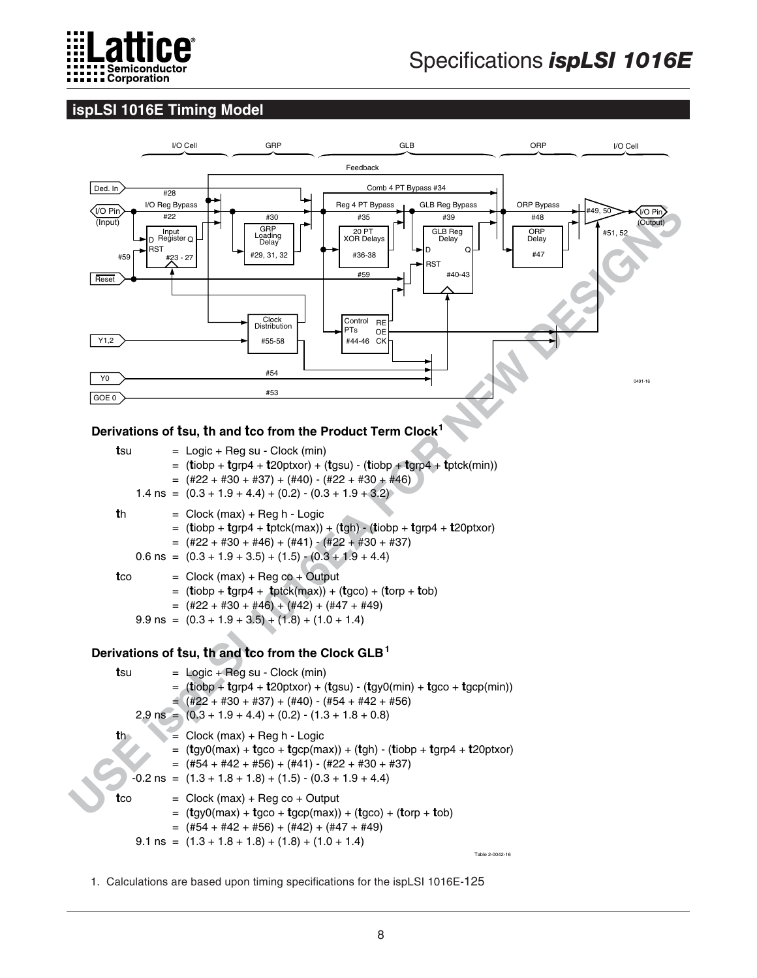

# **ispLSI 1016E Timing Model**



= (**t**gy0(max) + **t**gco + **t**gcp(max)) + (**t**gco) + (**t**orp + **t**ob) = (#54 + #42 + #56) + (#42) + (#47 + #49)

 $9.1 \text{ ns} = (1.3 + 1.8 + 1.8) + (1.8) + (1.0 + 1.4)$ 

Table 2-0042-16

1. Calculations are based upon timing specifications for the ispLSI 1016E-125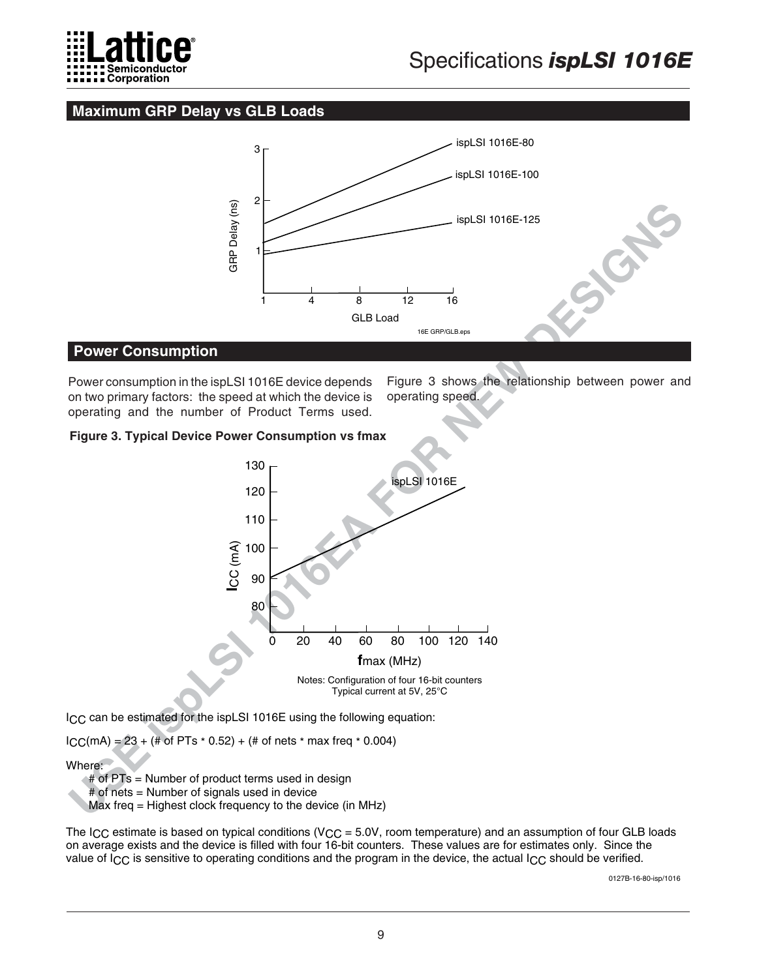

# **Maximum GRP Delay vs GLB Loads**



#### **Power Consumption**

Power consumption in the ispLSI 1016E device depends on two primary factors: the speed at which the device is operating and the number of Product Terms used.

Figure 3 shows the relationship between power and operating speed.

#### **Figure 3. Typical Device Power Consumption vs fmax**



ICC can be estimated for the ispLSI 1016E using the following equation:

 $ICC(MA) = 23 + (\text{# of PTs} * 0.52) + (\text{# of nets} * max freq * 0.004)$ 

Where:

# of PTs = Number of product terms used in design

# of nets = Number of signals used in device

Max freq = Highest clock frequency to the device (in MHz)

The I<sub>CC</sub> estimate is based on typical conditions (V<sub>CC</sub> = 5.0V, room temperature) and an assumption of four GLB loads on average exists and the device is filled with four 16-bit counters. These values are for estimates only. Since the value of  $I_{\rm CC}$  is sensitive to operating conditions and the program in the device, the actual  $I_{\rm CC}$  should be verified.

0127B-16-80-isp/1016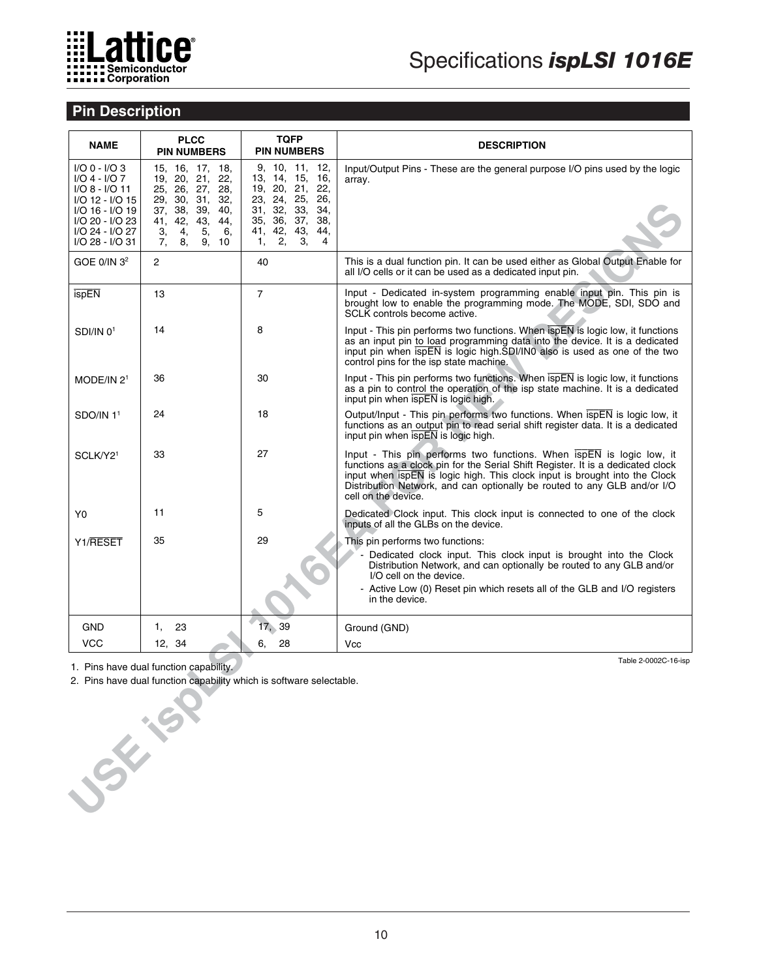

# **Pin Description**

| <b>NAME</b>                                                                                                                                       | <b>PLCC</b><br><b>PIN NUMBERS</b>                                                                                                                                                         | <b>TQFP</b><br><b>PIN NUMBERS</b>                                                                                                                                                        | <b>DESCRIPTION</b>                                                                                                                                                                                                                                                                                                                                    |
|---------------------------------------------------------------------------------------------------------------------------------------------------|-------------------------------------------------------------------------------------------------------------------------------------------------------------------------------------------|------------------------------------------------------------------------------------------------------------------------------------------------------------------------------------------|-------------------------------------------------------------------------------------------------------------------------------------------------------------------------------------------------------------------------------------------------------------------------------------------------------------------------------------------------------|
| $I/O 0 - I/O 3$<br>I/O 4 - I/O 7<br>I/O 8 - I/O 11<br>I/O 12 - I/O 15<br>I/O 16 - I/O 19<br>I/O 20 - I/O 23<br>I/O 24 - I/O 27<br>I/O 28 - I/O 31 | 15, 16, 17, 18,<br>19, 20, 21,<br>22,<br>25, 26, 27,<br>28,<br>29, 30,<br>31,<br>32,<br>37, 38,<br>39,<br>40.<br>43,<br>42,<br>44,<br>41,<br>3,<br>4,<br>5,<br>6,<br>7,<br>8,<br>9,<br>10 | 9, 10, 11,<br>12,<br>16,<br>13, 14,<br>15,<br>22,<br>19, 20, 21,<br>23, 24, 25,<br>26.<br>33,<br>34,<br>31, 32,<br>35, 36,<br>37,<br>38,<br>41, 42,<br>43,<br>44.<br>З,<br>4<br>2,<br>1, | Input/Output Pins - These are the general purpose I/O pins used by the logic<br>array.                                                                                                                                                                                                                                                                |
| GOE $0/IN32$                                                                                                                                      | 2                                                                                                                                                                                         | 40                                                                                                                                                                                       | This is a dual function pin. It can be used either as Global Output Enable for<br>all I/O cells or it can be used as a dedicated input pin.                                                                                                                                                                                                           |
| ispEN                                                                                                                                             | 13                                                                                                                                                                                        | $\overline{7}$                                                                                                                                                                           | Input - Dedicated in-system programming enable input pin. This pin is<br>brought low to enable the programming mode. The MODE, SDI, SDO and<br>SCLK controls become active.                                                                                                                                                                           |
| $SDI/IN$ $01$                                                                                                                                     | 14                                                                                                                                                                                        | 8                                                                                                                                                                                        | Input - This pin performs two functions. When ispEN is logic low, it functions<br>as an input pin to load programming data into the device. It is a dedicated<br>input pin when $\overline{s}$ pEN is logic high.SDI/IN0 also is used as one of the two<br>control pins for the isp state machine.                                                    |
| MODE/IN 2 <sup>1</sup>                                                                                                                            | 36                                                                                                                                                                                        | 30                                                                                                                                                                                       | Input - This pin performs two functions. When $\overline{ispEN}$ is logic low, it functions<br>as a pin to control the operation of the isp state machine. It is a dedicated<br>input pin when $\overline{s}$ is logic high.                                                                                                                          |
| $SDO/IN$ 1 <sup>1</sup>                                                                                                                           | 24                                                                                                                                                                                        | 18                                                                                                                                                                                       | Output/Input - This pin performs two functions. When $\overline{ispEN}$ is logic low, it<br>functions as an output pin to read serial shift register data. It is a dedicated<br>input pin when $\overline{s}$ pEN is logic high.                                                                                                                      |
| SCLK/Y2 <sup>1</sup>                                                                                                                              | 33                                                                                                                                                                                        | 27                                                                                                                                                                                       | Input - This pin performs two functions. When $\overline{ispEN}$ is logic low, it<br>functions as a clock pin for the Serial Shift Register. It is a dedicated clock<br>input when ispEN is logic high. This clock input is brought into the Clock<br>Distribution Network, and can optionally be routed to any GLB and/or I/O<br>cell on the device. |
| Y0                                                                                                                                                | 11                                                                                                                                                                                        | 5                                                                                                                                                                                        | Dedicated Clock input. This clock input is connected to one of the clock<br>inputs of all the GLBs on the device.                                                                                                                                                                                                                                     |
| Y1/RESET                                                                                                                                          | 35                                                                                                                                                                                        | 29                                                                                                                                                                                       | This pin performs two functions:<br>Dedicated clock input. This clock input is brought into the Clock<br>Distribution Network, and can optionally be routed to any GLB and/or<br>I/O cell on the device.<br>- Active Low (0) Reset pin which resets all of the GLB and I/O registers                                                                  |
|                                                                                                                                                   |                                                                                                                                                                                           |                                                                                                                                                                                          | in the device.                                                                                                                                                                                                                                                                                                                                        |
| GND                                                                                                                                               | 23<br>1,                                                                                                                                                                                  | 17, 39                                                                                                                                                                                   | Ground (GND)                                                                                                                                                                                                                                                                                                                                          |
| <b>VCC</b>                                                                                                                                        | 12, 34                                                                                                                                                                                    | 28<br>6.                                                                                                                                                                                 | Vcc<br>Table 2-0002C-16-isp                                                                                                                                                                                                                                                                                                                           |
|                                                                                                                                                   | 1. Pins have dual function capability.                                                                                                                                                    |                                                                                                                                                                                          |                                                                                                                                                                                                                                                                                                                                                       |
|                                                                                                                                                   | 2. Pins have dual function capability which is software selectable.                                                                                                                       |                                                                                                                                                                                          |                                                                                                                                                                                                                                                                                                                                                       |
|                                                                                                                                                   |                                                                                                                                                                                           |                                                                                                                                                                                          |                                                                                                                                                                                                                                                                                                                                                       |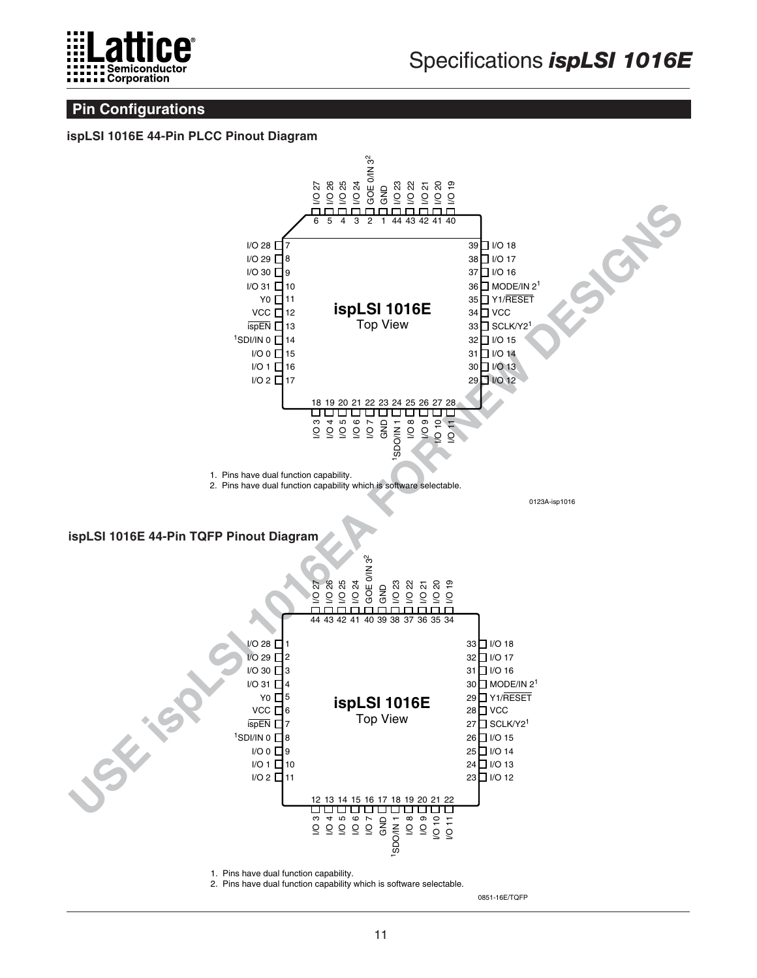

# **Pin Configurations**

#### **ispLSI 1016E 44-Pin PLCC Pinout Diagram**



2. Pins have dual function capability which is software selectable.

0851-16E/TQFP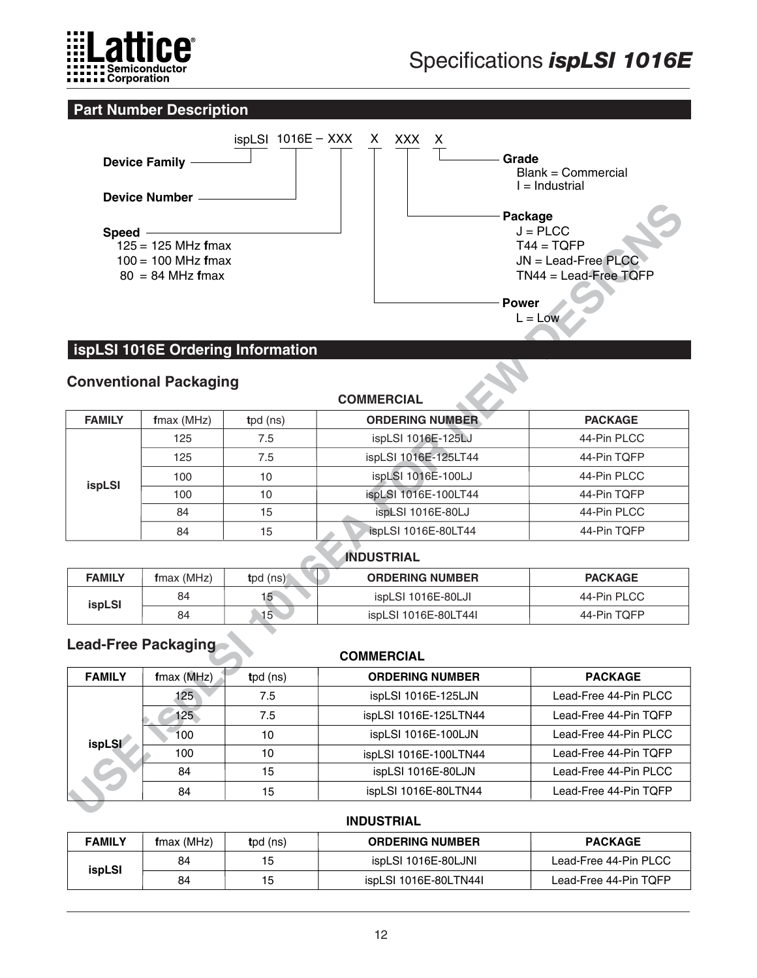

# **Part Number Description**



# **ispLSI 1016E Ordering Information**

# **Conventional Packaging**

| Speed -       | $125 = 125$ MHz fmax<br>$100 = 100$ MHz fmax<br>$80 = 84$ MHz fmax<br><b>Conventional Packaging</b> | <b>ispLSI 1016E Ordering Information</b> | <b>Power</b>           | Package<br>$J = PLCC$<br>$T44 = TQFP$<br>$JN =$ Lead-Free PLCC<br>$TN44 =$ Lead-Free TQFP<br>$L = Low$ |  |  |  |
|---------------|-----------------------------------------------------------------------------------------------------|------------------------------------------|------------------------|--------------------------------------------------------------------------------------------------------|--|--|--|
|               |                                                                                                     |                                          | <b>COMMERCIAL</b>      |                                                                                                        |  |  |  |
| <b>FAMILY</b> | $f$ max (MHz)                                                                                       | tpd (ns)                                 | <b>ORDERING NUMBER</b> | <b>PACKAGE</b>                                                                                         |  |  |  |
|               | 125                                                                                                 | 7.5                                      | ispLSI 1016E-125LJ     | 44-Pin PLCC                                                                                            |  |  |  |
| ispLSI        | 125                                                                                                 | 7.5                                      | ispLSI 1016E-125LT44   | 44-Pin TOFP                                                                                            |  |  |  |
|               | 100                                                                                                 | 10                                       | ispLSI 1016E-100LJ     | 44-Pin PLCC                                                                                            |  |  |  |
|               | 100                                                                                                 | 10                                       | ispLSI 1016E-100LT44   | 44-Pin TQFP                                                                                            |  |  |  |
|               | 84                                                                                                  | 15                                       | ispLSI 1016E-80LJ      | 44-Pin PLCC                                                                                            |  |  |  |
|               | 84                                                                                                  | 15                                       | ispLSI 1016E-80LT44    | 44-Pin TQFP                                                                                            |  |  |  |
|               |                                                                                                     |                                          | <b>INDUSTRIAL</b>      |                                                                                                        |  |  |  |
| <b>FAMILY</b> | fmax (MHz)                                                                                          | tpd (ns)                                 | <b>ORDERING NUMBER</b> | <b>PACKAGE</b>                                                                                         |  |  |  |
| ispLSI        | 84                                                                                                  | 15 <sub>1</sub>                          | ispLSI 1016E-80LJI     | 44-Pin PLCC                                                                                            |  |  |  |
|               | 84                                                                                                  | 15 <sub>1</sub>                          | ispLSI 1016E-80LT44I   | 44-Pin TQFP                                                                                            |  |  |  |
|               | <b>Lead-Free Packaging</b>                                                                          |                                          | <b>COMMERCIAL</b>      |                                                                                                        |  |  |  |
| <b>FAMILY</b> | fmax (MHz)                                                                                          | tpd (ns)                                 | <b>ORDERING NUMBER</b> | <b>PACKAGE</b>                                                                                         |  |  |  |
|               | 125                                                                                                 | 7.5                                      | ispLSI 1016E-125LJN    | Lead-Free 44-Pin PLCC                                                                                  |  |  |  |
|               | 125                                                                                                 | 7.5                                      | ispLSI 1016E-125LTN44  | Lead-Free 44-Pin TQFP                                                                                  |  |  |  |
| <i>ispLSI</i> | 100                                                                                                 | 10                                       | ispLSI 1016E-100LJN    | Lead-Free 44-Pin PLCC                                                                                  |  |  |  |
|               | 100                                                                                                 | 10                                       | ispLSI 1016E-100LTN44  | Lead-Free 44-Pin TQFP                                                                                  |  |  |  |
|               | 84                                                                                                  | 15                                       | ispLSI 1016E-80LJN     | Lead-Free 44-Pin PLCC                                                                                  |  |  |  |
|               | 84                                                                                                  | 15                                       | ispLSI 1016E-80LTN44   | Lead-Free 44-Pin TQFP                                                                                  |  |  |  |
|               |                                                                                                     |                                          |                        |                                                                                                        |  |  |  |

# **INDUSTRIAL**

| <b>FAMILY</b> | $f$ max (MHz) | tpd $(ns)$ | <b>ORDERING NUMBER</b> | <b>PACKAGE</b> |
|---------------|---------------|------------|------------------------|----------------|
| <b>ispLSI</b> | 84            | 15         | ispLSI 1016E-80LJI     | 44-Pin PLCC    |
|               | 84            | 15         | ispLSI 1016E-80LT44I   | 44-Pin TOFP    |

# **Lead-Free Packaging**

#### **COMMERCIAL**

| <b>FAMILY</b> | $f$ max (MHz)    | $tpd$ (ns) | <b>ORDERING NUMBER</b> | <b>PACKAGE</b>        |
|---------------|------------------|------------|------------------------|-----------------------|
|               | 125 <sub>1</sub> | 7.5        | ispLSI 1016E-125LJN    | Lead-Free 44-Pin PLCC |
|               | 125              | 7.5        | ispLSI 1016E-125LTN44  | Lead-Free 44-Pin TQFP |
| <b>ispLSI</b> | 100              | 10         | ispLSI 1016E-100LJN    | Lead-Free 44-Pin PLCC |
|               | 100              | 10         | ispLSI 1016E-100LTN44  | Lead-Free 44-Pin TQFP |
|               | 84               | 15         | ispLSI 1016E-80LJN     | Lead-Free 44-Pin PLCC |
|               | 84               | 15         | ispLSI 1016E-80LTN44   | Lead-Free 44-Pin TQFP |

#### **INDUSTRIAL**

| <b>FAMILY</b> | fmax (MHz) | tpd (ns) | <b>ORDERING NUMBER</b> | <b>PACKAGE</b>        |
|---------------|------------|----------|------------------------|-----------------------|
| ispLSI        | 84         | 15       | ispLSI 1016E-80LJNI    | Lead-Free 44-Pin PLCC |
|               | 84         | 15       | ispLSI 1016E-80LTN44I  | Lead-Free 44-Pin TQFP |